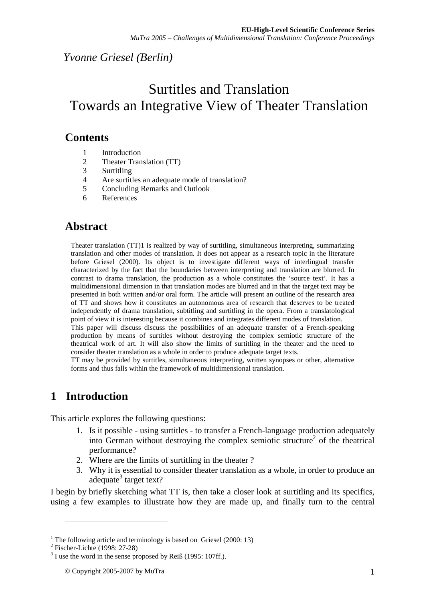## *Yvonne Griesel (Berlin)*

# Surtitles and Translation Towards an Integrative View of Theater Translation

### **Contents**

- 1 Introduction<br>2 Theater Tran
- 2 Theater Translation (TT)
- 3 Surtitling
- 4 Are surtitles an adequate mode of translation?
- 5 Concluding Remarks and Outlook
- 6 References

## **Abstract**

Theater translation (TT)1 is realized by way of surtitling, simultaneous interpreting, summarizing translation and other modes of translation. It does not appear as a research topic in the literature before Griesel (2000). Its object is to investigate different ways of interlingual transfer characterized by the fact that the boundaries between interpreting and translation are blurred. In contrast to drama translation, the production as a whole constitutes the 'source text'. It has a multidimensional dimension in that translation modes are blurred and in that the target text may be presented in both written and/or oral form. The article will present an outline of the research area of TT and shows how it constitutes an autonomous area of research that deserves to be treated independently of drama translation, subtitling and surtitling in the opera. From a translatological point of view it is interesting because it combines and integrates different modes of translation.

This paper will discuss discuss the possibilities of an adequate transfer of a French-speaking production by means of surtitles without destroying the complex semiotic structure of the theatrical work of art. It will also show the limits of surtitling in the theater and the need to consider theater translation as a whole in order to produce adequate target texts.

TT may be provided by surtitles, simultaneous interpreting, written synopses or other, alternative forms and thus falls within the framework of multidimensional translation.

## **1 Introduction**

This article explores the following questions:

- 1. Is it possible using surtitles to transfer a French-language production adequately into German without destroying the complex semiotic structure<sup>2</sup> of the theatrical performance?
- 2. Where are the limits of surtitling in the theater ?
- 3. Why it is essential to consider theater translation as a whole, in order to produce an adequate<sup>3</sup> target text?

I begin by briefly sketching what TT is, then take a closer look at surtitling and its specifics, using a few examples to illustrate how they are made up, and finally turn to the central

<sup>&</sup>lt;sup>1</sup> The following article and terminology is based on Griesel (2000: 13)

<sup>2</sup> Fischer-Lichte (1998: 27-28)

 $3$  I use the word in the sense proposed by Reiß (1995: 107ff.).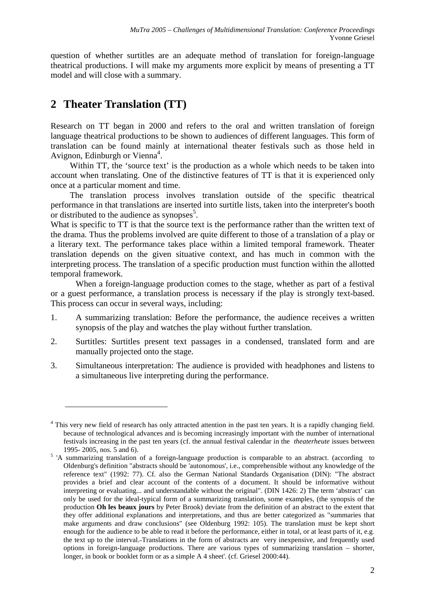question of whether surtitles are an adequate method of translation for foreign-language theatrical productions. I will make my arguments more explicit by means of presenting a TT model and will close with a summary.

## **2 Theater Translation (TT)**

<u>.</u>

Research on TT began in 2000 and refers to the oral and written translation of foreign language theatrical productions to be shown to audiences of different languages. This form of translation can be found mainly at international theater festivals such as those held in Avignon, Edinburgh or Vienna<sup>4</sup>.

Within TT, the 'source text' is the production as a whole which needs to be taken into account when translating. One of the distinctive features of TT is that it is experienced only once at a particular moment and time.

The translation process involves translation outside of the specific theatrical performance in that translations are inserted into surtitle lists, taken into the interpreter's booth or distributed to the audience as synopses<sup>5</sup>.

What is specific to TT is that the source text is the performance rather than the written text of the drama. Thus the problems involved are quite different to those of a translation of a play or a literary text. The performance takes place within a limited temporal framework. Theater translation depends on the given situative context, and has much in common with the interpreting process. The translation of a specific production must function within the allotted temporal framework.

When a foreign-language production comes to the stage, whether as part of a festival or a guest performance, a translation process is necessary if the play is strongly text-based. This process can occur in several ways, including:

- 1. A summarizing translation: Before the performance, the audience receives a written synopsis of the play and watches the play without further translation.
- 2. Surtitles: Surtitles present text passages in a condensed, translated form and are manually projected onto the stage.
- 3. Simultaneous interpretation: The audience is provided with headphones and listens to a simultaneous live interpreting during the performance.

<sup>&</sup>lt;sup>4</sup> This very new field of research has only attracted attention in the past ten years. It is a rapidly changing field. because of technological advances and is becoming increasingly important with the number of international festivals increasing in the past ten years (cf. the annual festival calendar in the *theaterheute* issues between 1995- 2005, nos. 5 and 6).

<sup>&</sup>lt;sup>5</sup> 'A summarizing translation of a foreign-language production is comparable to an abstract. (according to Oldenburg's definition "abstracts should be 'autonomous', i.e., comprehensible without any knowledge of the reference text" (1992: 77). Cf. also the German National Standards Organisation (DIN): "The abstract provides a brief and clear account of the contents of a document. It should be informative without interpreting or evaluating... and understandable without the original". (DIN 1426: 2) The term 'abstract' can only be used for the ideal-typical form of a summarizing translation, some examples, (the synopsis of the production **Oh les beaux jours** by Peter Brook) deviate from the definition of an abstract to the extent that they offer additional explanations and interpretations, and thus are better categorized as "summaries that make arguments and draw conclusions" (see Oldenburg 1992: 105). The translation must be kept short enough for the audience to be able to read it before the performance, either in total, or at least parts of it, e.g. the text up to the interval. Translations in the form of abstracts are very inexpensive, and frequently used options in foreign-language productions. There are various types of summarizing translation – shorter, longer, in book or booklet form or as a simple A 4 sheet'. (cf. Griesel 2000:44).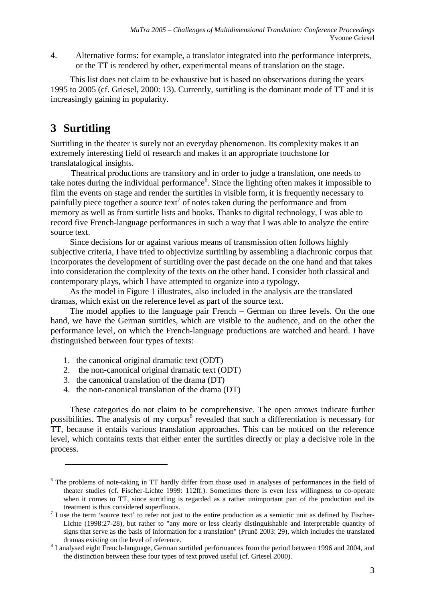4. Alternative forms: for example, a translator integrated into the performance interprets, or the TT is rendered by other, experimental means of translation on the stage.

This list does not claim to be exhaustive but is based on observations during the years 1995 to 2005 (cf. Griesel, 2000: 13). Currently, surtitling is the dominant mode of TT and it is increasingly gaining in popularity.

## **3 Surtitling**

<u>.</u>

Surtitling in the theater is surely not an everyday phenomenon. Its complexity makes it an extremely interesting field of research and makes it an appropriate touchstone for translatalogical insights.

Theatrical productions are transitory and in order to judge a translation, one needs to take notes during the individual performance<sup>6</sup>. Since the lighting often makes it impossible to film the events on stage and render the surtitles in visible form, it is frequently necessary to painfully piece together a source text<sup>7</sup> of notes taken during the performance and from memory as well as from surtitle lists and books. Thanks to digital technology, I was able to record five French-language performances in such a way that I was able to analyze the entire source text.

Since decisions for or against various means of transmission often follows highly subjective criteria, I have tried to objectivize surtitling by assembling a diachronic corpus that incorporates the development of surtitling over the past decade on the one hand and that takes into consideration the complexity of the texts on the other hand. I consider both classical and contemporary plays, which I have attempted to organize into a typology.

As the model in Figure 1 illustrates, also included in the analysis are the translated dramas, which exist on the reference level as part of the source text.

The model applies to the language pair French – German on three levels. On the one hand, we have the German surtitles, which are visible to the audience, and on the other the performance level, on which the French-language productions are watched and heard. I have distinguished between four types of texts:

- 1. the canonical original dramatic text (ODT)
- 2. the non-canonical original dramatic text (ODT)
- 3. the canonical translation of the drama (DT)
- 4. the non-canonical translation of the drama (DT)

These categories do not claim to be comprehensive. The open arrows indicate further possibilities. The analysis of my corpus<sup>8</sup> revealed that such a differentiation is necessary for TT, because it entails various translation approaches. This can be noticed on the reference level, which contains texts that either enter the surtitles directly or play a decisive role in the process.

<sup>&</sup>lt;sup>6</sup> The problems of note-taking in TT hardly differ from those used in analyses of performances in the field of theater studies (cf. Fischer-Lichte 1999: 112ff.). Sometimes there is even less willingness to co-operate when it comes to TT, since surtitling is regarded as a rather unimportant part of the production and its treatment is thus considered superfluous.

 $<sup>7</sup>$  I use the term 'source text' to refer not just to the entire production as a semiotic unit as defined by Fischer-</sup> Lichte (1998:27-28), but rather to "any more or less clearly distinguishable and interpretable quantity of signs that serve as the basis of information for a translation" (Prunč 2003: 29), which includes the translated dramas existing on the level of reference.

<sup>&</sup>lt;sup>8</sup> I analysed eight French-language, German surtitled performances from the period between 1996 and 2004, and the distinction between these four types of text proved useful (cf. Griesel 2000).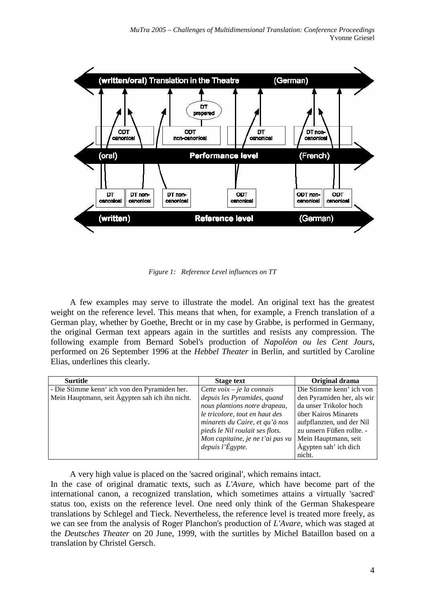

*Figure 1: Reference Level influences on TT* 

A few examples may serve to illustrate the model. An original text has the greatest weight on the reference level. This means that when, for example, a French translation of a German play, whether by Goethe, Brecht or in my case by Grabbe, is performed in Germany, the original German text appears again in the surtitles and resists any compression. The following example from Bernard Sobel's production of *Napoléon ou les Cent Jours*, performed on 26 September 1996 at the *Hebbel Theater* in Berlin, and surtitled by Caroline Elias, underlines this clearly.

| <b>Surtitle</b>                                 | <b>Stage text</b>                | Original drama             |
|-------------------------------------------------|----------------------------------|----------------------------|
| - Die Stimme kenn' ich von den Pyramiden her.   | Cette voix $-$ je la connais     | Die Stimme kenn' ich von   |
| Mein Hauptmann, seit Ägypten sah ich ihn nicht. | depuis les Pyramides, quand      | den Pyramiden her, als wir |
|                                                 | nous plantions notre drapeau,    | da unser Trikolor hoch     |
|                                                 | le tricolore, tout en haut des   | über Kairos Minarets       |
|                                                 | minarets du Caire, et qu'à nos   | aufpflanzten, und der Nil  |
|                                                 | pieds le Nil roulait ses flots.  | zu unsern Füßen rollte. -  |
|                                                 | Mon capitaine, je ne t'ai pas vu | Mein Hauptmann, seit       |
|                                                 | depuis l'Égypte.                 | Ägypten sah' ich dich      |
|                                                 |                                  | nicht.                     |

A very high value is placed on the 'sacred original', which remains intact.

In the case of original dramatic texts, such as *L'Avare*, which have become part of the international canon, a recognized translation, which sometimes attains a virtually 'sacred' status too, exists on the reference level. One need only think of the German Shakespeare translations by Schlegel and Tieck. Nevertheless, the reference level is treated more freely, as we can see from the analysis of Roger Planchon's production of *L'Avare*, which was staged at the *Deutsches Theater* on 20 June, 1999, with the surtitles by Michel Bataillon based on a translation by Christel Gersch.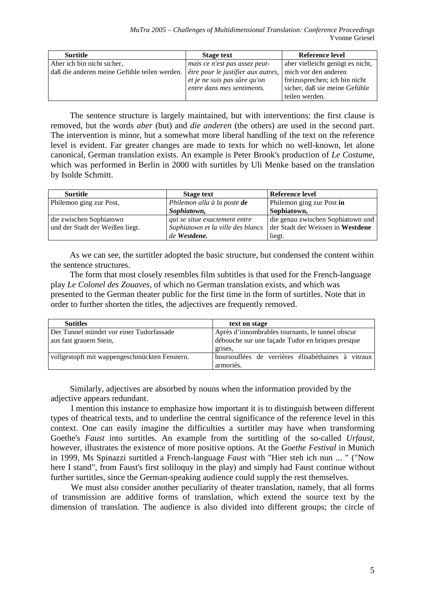| <b>Surtitle</b>                                                                           | <b>Stage text</b>             | Reference level                  |  |
|-------------------------------------------------------------------------------------------|-------------------------------|----------------------------------|--|
| Aber ich bin nicht sicher,                                                                | mais ce n'est pas assez peut- | aber vielleicht genügt es nicht, |  |
| daß die anderen meine Gefühle teilen werden. <i>\\etre pour le justifier aux autres</i> , |                               | mich vor den anderen             |  |
|                                                                                           | et je ne suis pas sûre qu'on  | freizusprechen; ich bin nicht    |  |
|                                                                                           | entre dans mes sentiments.    | sicher, daß sie meine Gefühle    |  |
|                                                                                           |                               | teilen werden.                   |  |

The sentence structure is largely maintained, but with interventions: the first clause is removed, but the words *aber* (but) and *die anderen* (the others) are used in the second part. The intervention is minor, but a somewhat more liberal handling of the text on the reference level is evident. Far greater changes are made to texts for which no well-known, let alone canonical, German translation exists. An example is Peter Brook's production of *Le Costume*, which was performed in Berlin in 2000 with surtitles by Uli Menke based on the translation by Isolde Schmitt.

| <b>Surtitle</b>                 | <b>Stage text</b>                 | Reference level                   |
|---------------------------------|-----------------------------------|-----------------------------------|
| Philemon ging zur Post,         | Philemon alla à la poste de       | Philemon ging zur Post in         |
|                                 | Sophiatown,                       | Sophiatown,                       |
| die zwischen Sophiatown         | qui se situe exactement entre     | die genau zwischen Sophiatown und |
| und der Stadt der Weißen liegt. | Sophiatown et la ville des blancs | der Stadt der Weissen in Westdene |
|                                 | de Westdene.                      | liegt.                            |

As we can see, the surtitler adopted the basic structure, but condensed the content within the sentence structures.

The form that most closely resembles film subtitles is that used for the French-language play *Le Colonel des Zouaves*, of which no German translation exists, and which was presented to the German theater public for the first time in the form of surtitles. Note that in order to further shorten the titles, the adjectives are frequently removed.

| <b>Sutitles</b>                               | text on stage                                                   |  |  |  |
|-----------------------------------------------|-----------------------------------------------------------------|--|--|--|
| Der Tunnel mündet vor einer Tudorfassade      | Après d'innombrables tournants, le tunnel obscur                |  |  |  |
| aus fast grauem Stein,                        | débouche sur une façade Tudor en briques presque<br>grises.     |  |  |  |
| vollgestopft mit wappengeschmückten Fenstern. | boursouflées de verrières élisabéthaines à vitraux<br>armoriés. |  |  |  |

Similarly, adjectives are absorbed by nouns when the information provided by the adjective appears redundant.

I mention this instance to emphasize how important it is to distinguish between different types of theatrical texts, and to underline the central significance of the reference level in this context. One can easily imagine the difficulties a surtitler may have when transforming Goethe's *Faust* into surtitles. An example from the surtitling of the so-called *Urfaust*, however, illustrates the existence of more positive options. At the *Goethe Festival* in Munich in 1999, Ms Spinazzi surtitled a French-language *Faust* with "Hier steh ich nun ... " ("Now here I stand", from Faust's first soliloquy in the play) and simply had Faust continue without further surtitles, since the German-speaking audience could supply the rest themselves.

We must also consider another peculiarity of theater translation, namely, that all forms of transmission are additive forms of translation, which extend the source text by the dimension of translation. The audience is also divided into different groups; the circle of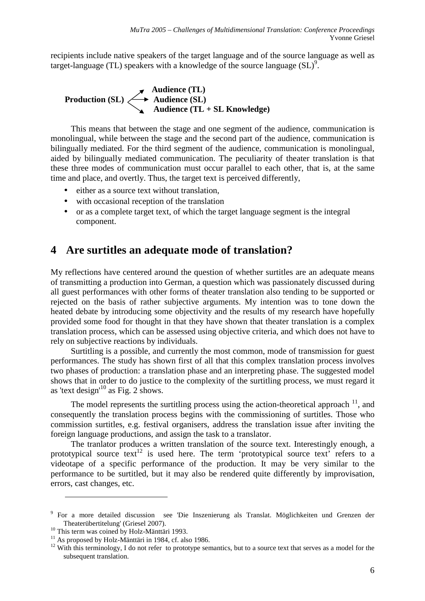recipients include native speakers of the target language and of the source language as well as target-language (TL) speakers with a knowledge of the source language  $(SL)^9$ .

**Audience (TL) Production (SL)**  $\longleftrightarrow$  Audience (SL) **Audience (TL + SL Knowledge)** 

This means that between the stage and one segment of the audience, communication is monolingual, while between the stage and the second part of the audience, communication is bilingually mediated. For the third segment of the audience, communication is monolingual, aided by bilingually mediated communication. The peculiarity of theater translation is that these three modes of communication must occur parallel to each other, that is, at the same time and place, and overtly. Thus, the target text is perceived differently,

- either as a source text without translation,
- with occasional reception of the translation
- or as a complete target text, of which the target language segment is the integral component.

## **4 Are surtitles an adequate mode of translation?**

My reflections have centered around the question of whether surtitles are an adequate means of transmitting a production into German, a question which was passionately discussed during all guest performances with other forms of theater translation also tending to be supported or rejected on the basis of rather subjective arguments. My intention was to tone down the heated debate by introducing some objectivity and the results of my research have hopefully provided some food for thought in that they have shown that theater translation is a complex translation process, which can be assessed using objective criteria, and which does not have to rely on subjective reactions by individuals.

Surtitling is a possible, and currently the most common, mode of transmission for guest performances. The study has shown first of all that this complex translation process involves two phases of production: a translation phase and an interpreting phase. The suggested model shows that in order to do justice to the complexity of the surtitling process, we must regard it as 'text design'<sup>10</sup> as Fig. 2 shows.

The model represents the surtitling process using the action-theoretical approach  $^{11}$ , and consequently the translation process begins with the commissioning of surtitles. Those who commission surtitles, e.g. festival organisers, address the translation issue after inviting the foreign language productions, and assign the task to a translator.

The tranlator produces a written translation of the source text. Interestingly enough, a prototypical source text<sup>12</sup> is used here. The term 'prototypical source text' refers to a videotape of a specific performance of the production. It may be very similar to the performance to be surtitled, but it may also be rendered quite differently by improvisation, errors, cast changes, etc.

<sup>&</sup>lt;sup>9</sup> For a more detailed discussion see 'Die Inszenierung als Translat. Möglichkeiten und Grenzen der Theaterübertitelung' (Griesel 2007).

<sup>&</sup>lt;sup>10</sup> This term was coined by Holz-Mänttäri 1993.

 $11$  As proposed by Holz-Mänttäri in 1984, cf. also 1986.

<sup>&</sup>lt;sup>12</sup> With this terminology, I do not refer to prototype semantics, but to a source text that serves as a model for the subsequent translation.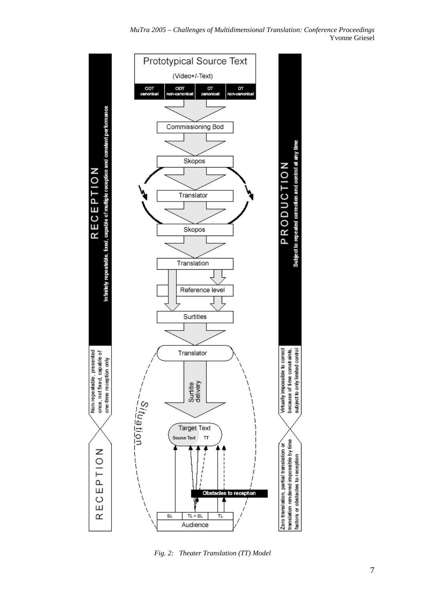

*Fig. 2: Theater Translation (TT) Model*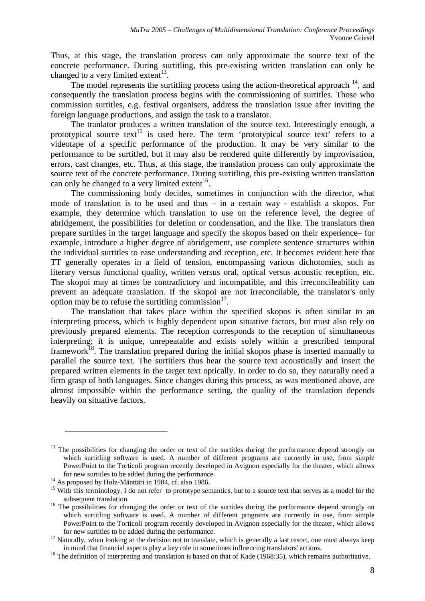Thus, at this stage, the translation process can only approximate the source text of the concrete performance. During surtitling, this pre-existing written translation can only be changed to a very limited extent<sup>13</sup>.

The model represents the surtitling process using the action-theoretical approach  $^{14}$ , and consequently the translation process begins with the commissioning of surtitles. Those who commission surtitles, e.g. festival organisers, address the translation issue after inviting the foreign language productions, and assign the task to a translator.

The tranlator produces a written translation of the source text. Interestingly enough, a prototypical source text<sup>15</sup> is used here. The term 'prototypical source text' refers to a videotape of a specific performance of the production. It may be very similar to the performance to be surtitled, but it may also be rendered quite differently by improvisation, errors, cast changes, etc. Thus, at this stage, the translation process can only approximate the source text of the concrete performance. During surtitling, this pre-existing written translation can only be changed to a very limited extent<sup>16</sup>.

The commissioning body decides, sometimes in conjunction with the director, what mode of translation is to be used and thus – in a certain way - establish a skopos. For example, they determine which translation to use on the reference level, the degree of abridgement, the possibilities for deletion or condensation, and the like. The translators then prepare surtitles in the target language and specify the skopos based on their experience– for example, introduce a higher degree of abridgement, use complete sentence structures within the individual surtitles to ease understanding and reception, etc. It becomes evident here that TT generally operates in a field of tension, encompassing various dichotomies, such as literary versus functional quality, written versus oral, optical versus acoustic reception, etc. The skopoi may at times be contradictory and incompatible, and this irreconcileability can prevent an adequate translation. If the skopoi are not irreconcilable, the translator's only option may be to refuse the surtitling commission $17$ .

The translation that takes place within the specified skopos is often similar to an interpreting process, which is highly dependent upon situative factors, but must also rely on previously prepared elements. The reception corresponds to the reception of simultaneous interpreting; it is unique, unrepeatable and exists solely within a prescribed temporal framework<sup>18</sup>. The translation prepared during the initial skopos phase is inserted manually to parallel the source text. The surtitlers thus hear the source text acoustically and insert the prepared written elements in the target text optically. In order to do so, they naturally need a firm grasp of both languages. Since changes during this process, as was mentioned above, are almost impossible within the performance setting, the quality of the translation depends heavily on situative factors.

<sup>&</sup>lt;sup>13</sup> The possibilities for changing the order or text of the surtitles during the performance depend strongly on which surtitling software is used. A number of different programs are currently in use, from simple PowerPoint to the Torticoli program recently developed in Avignon especially for the theater, which allows for new surtitles to be added during the performance.

<sup>&</sup>lt;sup>14</sup> As proposed by Holz-Mänttäri in 1984, cf. also 1986.

<sup>&</sup>lt;sup>15</sup> With this terminology, I do not refer to prototype semantics, but to a source text that serves as a model for the subsequent translation.

<sup>&</sup>lt;sup>16</sup> The possibilities for changing the order or text of the surtitles during the performance depend strongly on which surtitling software is used. A number of different programs are currently in use, from simple PowerPoint to the Torticoli program recently developed in Avignon especially for the theater, which allows for new surtitles to be added during the performance.

 $17$  Naturally, when looking at the decision not to translate, which is generally a last resort, one must always keep in mind that financial aspects play a key role in sometimes influencing translators' actions.

<sup>&</sup>lt;sup>18</sup> The definition of interpreting and translation is based on that of Kade (1968:35), which remains authoritative.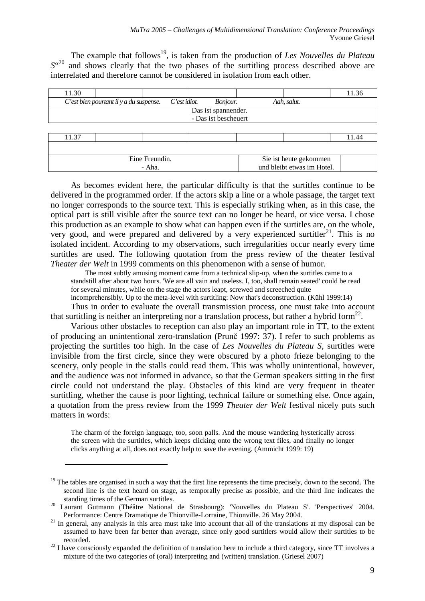und bleibt etwas im Hotel.

The example that follows<sup>19</sup>, is taken from the production of *Les Nouvelles du Plateau* S<sup>"20</sup> and shows clearly that the two phases of the surtitling process described above are interrelated and therefore cannot be considered in isolation from each other.

| 11.30 |                                            |                 |          |  |                        | 11.36 |
|-------|--------------------------------------------|-----------------|----------|--|------------------------|-------|
|       | $C$ 'est bien pourtant il y a du suspense. | $C$ 'est idiot. | Bonjour. |  | Aah, salut.            |       |
|       | Das ist spannender.                        |                 |          |  |                        |       |
|       | - Das ist bescheuert                       |                 |          |  |                        |       |
|       |                                            |                 |          |  |                        |       |
| 11.37 |                                            |                 |          |  |                        | 11.44 |
|       |                                            |                 |          |  |                        |       |
|       |                                            | Eine Freundin.  |          |  | Sie ist heute gekommen |       |

- Aha.

<u>.</u>

As becomes evident here, the particular difficulty is that the surtitles continue to be delivered in the programmed order. If the actors skip a line or a whole passage, the target text no longer corresponds to the source text. This is especially striking when, as in this case, the optical part is still visible after the source text can no longer be heard, or vice versa. I chose this production as an example to show what can happen even if the surtitles are, on the whole, very good, and were prepared and delivered by a very experienced surtitler<sup>21</sup>. This is no isolated incident. According to my observations, such irregularities occur nearly every time surtitles are used. The following quotation from the press review of the theater festival *Theater der Welt* in 1999 comments on this phenomenon with a sense of humor.

The most subtly amusing moment came from a technical slip-up, when the surtitles came to a standstill after about two hours. 'We are all vain and useless. I, too, shall remain seated' could be read for several minutes, while on the stage the actors leapt, screwed and screeched quite incomprehensibly. Up to the meta-level with surtitling: Now that's deconstruction. (Kühl 1999:14)

Thus in order to evaluate the overall transmission process, one must take into account that surtitling is neither an interpreting nor a translation process, but rather a hybrid form<sup>22</sup>.

Various other obstacles to reception can also play an important role in TT, to the extent of producing an unintentional zero-translation (Prunč 1997: 37). I refer to such problems as projecting the surtitles too high. In the case of *Les Nouvelles du Plateau S*, surtitles were invisible from the first circle, since they were obscured by a photo frieze belonging to the scenery, only people in the stalls could read them. This was wholly unintentional, however, and the audience was not informed in advance, so that the German speakers sitting in the first circle could not understand the play. Obstacles of this kind are very frequent in theater surtitling, whether the cause is poor lighting, technical failure or something else. Once again, a quotation from the press review from the 1999 *Theater der Welt* festival nicely puts such matters in words:

The charm of the foreign language, too, soon palls. And the mouse wandering hysterically across the screen with the surtitles, which keeps clicking onto the wrong text files, and finally no longer clicks anything at all, does not exactly help to save the evening. (Ammicht 1999: 19)

 $19$  The tables are organised in such a way that the first line represents the time precisely, down to the second. The second line is the text heard on stage, as temporally precise as possible, and the third line indicates the standing times of the German surtitles.

Laurant Gutmann (Théâtre National de Strasbourg): 'Nouvelles du Plateau S'. 'Perspectives' 2004. Performance: Centre Dramatique de Thionville-Lorraine, Thionville. 26 May 2004.

 $21$  In general, any analysis in this area must take into account that all of the translations at my disposal can be assumed to have been far better than average, since only good surtitlers would allow their surtitles to be recorded.

 $22$  I have consciously expanded the definition of translation here to include a third category, since TT involves a mixture of the two categories of (oral) interpreting and (written) translation. (Griesel 2007)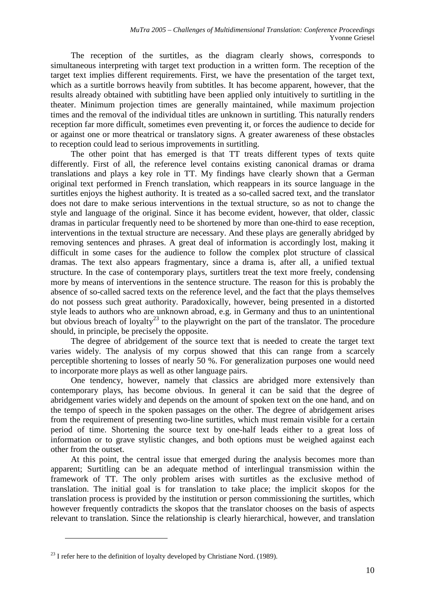The reception of the surtitles, as the diagram clearly shows, corresponds to simultaneous interpreting with target text production in a written form. The reception of the target text implies different requirements. First, we have the presentation of the target text, which as a surtitle borrows heavily from subtitles. It has become apparent, however, that the results already obtained with subtitling have been applied only intuitively to surtitling in the theater. Minimum projection times are generally maintained, while maximum projection times and the removal of the individual titles are unknown in surtitling. This naturally renders reception far more difficult, sometimes even preventing it, or forces the audience to decide for or against one or more theatrical or translatory signs. A greater awareness of these obstacles to reception could lead to serious improvements in surtitling.

The other point that has emerged is that TT treats different types of texts quite differently. First of all, the reference level contains existing canonical dramas or drama translations and plays a key role in TT. My findings have clearly shown that a German original text performed in French translation, which reappears in its source language in the surtitles enjoys the highest authority. It is treated as a so-called sacred text, and the translator does not dare to make serious interventions in the textual structure, so as not to change the style and language of the original. Since it has become evident, however, that older, classic dramas in particular frequently need to be shortened by more than one-third to ease reception, interventions in the textual structure are necessary. And these plays are generally abridged by removing sentences and phrases. A great deal of information is accordingly lost, making it difficult in some cases for the audience to follow the complex plot structure of classical dramas. The text also appears fragmentary, since a drama is, after all, a unified textual structure. In the case of contemporary plays, surtitlers treat the text more freely, condensing more by means of interventions in the sentence structure. The reason for this is probably the absence of so-called sacred texts on the reference level, and the fact that the plays themselves do not possess such great authority. Paradoxically, however, being presented in a distorted style leads to authors who are unknown abroad, e.g. in Germany and thus to an unintentional but obvious breach of loyalty<sup>23</sup> to the playwright on the part of the translator. The procedure should, in principle, be precisely the opposite.

The degree of abridgement of the source text that is needed to create the target text varies widely. The analysis of my corpus showed that this can range from a scarcely perceptible shortening to losses of nearly 50 %. For generalization purposes one would need to incorporate more plays as well as other language pairs.

One tendency, however, namely that classics are abridged more extensively than contemporary plays, has become obvious. In general it can be said that the degree of abridgement varies widely and depends on the amount of spoken text on the one hand, and on the tempo of speech in the spoken passages on the other. The degree of abridgement arises from the requirement of presenting two-line surtitles, which must remain visible for a certain period of time. Shortening the source text by one-half leads either to a great loss of information or to grave stylistic changes, and both options must be weighed against each other from the outset.

At this point, the central issue that emerged during the analysis becomes more than apparent; Surtitling can be an adequate method of interlingual transmission within the framework of TT. The only problem arises with surtitles as the exclusive method of translation. The initial goal is for translation to take place; the implicit skopos for the translation process is provided by the institution or person commissioning the surtitles, which however frequently contradicts the skopos that the translator chooses on the basis of aspects relevant to translation. Since the relationship is clearly hierarchical, however, and translation

 $^{23}$  I refer here to the definition of loyalty developed by Christiane Nord. (1989).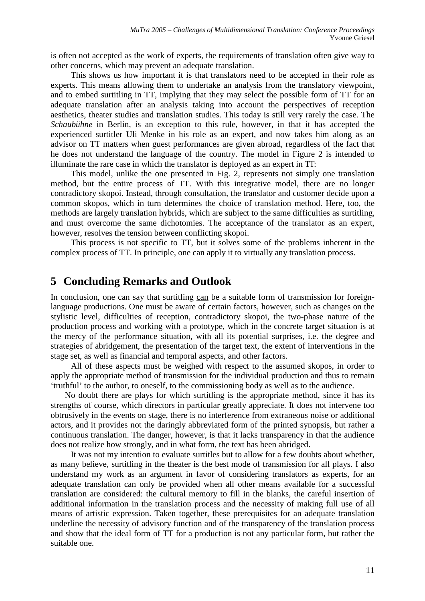is often not accepted as the work of experts, the requirements of translation often give way to other concerns, which may prevent an adequate translation.

This shows us how important it is that translators need to be accepted in their role as experts. This means allowing them to undertake an analysis from the translatory viewpoint, and to embed surtitling in TT, implying that they may select the possible form of TT for an adequate translation after an analysis taking into account the perspectives of reception aesthetics, theater studies and translation studies. This today is still very rarely the case. The *Schaubühne* in Berlin, is an exception to this rule, however, in that it has accepted the experienced surtitler Uli Menke in his role as an expert, and now takes him along as an advisor on TT matters when guest performances are given abroad, regardless of the fact that he does not understand the language of the country. The model in Figure 2 is intended to illuminate the rare case in which the translator is deployed as an expert in TT:

This model, unlike the one presented in Fig. 2, represents not simply one translation method, but the entire process of TT. With this integrative model, there are no longer contradictory skopoi. Instead, through consultation, the translator and customer decide upon a common skopos, which in turn determines the choice of translation method. Here, too, the methods are largely translation hybrids, which are subject to the same difficulties as surtitling, and must overcome the same dichotomies. The acceptance of the translator as an expert, however, resolves the tension between conflicting skopoi.

This process is not specific to TT, but it solves some of the problems inherent in the complex process of TT. In principle, one can apply it to virtually any translation process.

#### **5 Concluding Remarks and Outlook**

In conclusion, one can say that surtitling can be a suitable form of transmission for foreignlanguage productions. One must be aware of certain factors, however, such as changes on the stylistic level, difficulties of reception, contradictory skopoi, the two-phase nature of the production process and working with a prototype, which in the concrete target situation is at the mercy of the performance situation, with all its potential surprises, i.e. the degree and strategies of abridgement, the presentation of the target text, the extent of interventions in the stage set, as well as financial and temporal aspects, and other factors.

All of these aspects must be weighed with respect to the assumed skopos, in order to apply the appropriate method of transmission for the individual production and thus to remain 'truthful' to the author, to oneself, to the commissioning body as well as to the audience.

No doubt there are plays for which surtitling is the appropriate method, since it has its strengths of course, which directors in particular greatly appreciate. It does not intervene too obtrusively in the events on stage, there is no interference from extraneous noise or additional actors, and it provides not the daringly abbreviated form of the printed synopsis, but rather a continuous translation. The danger, however, is that it lacks transparency in that the audience does not realize how strongly, and in what form, the text has been abridged.

It was not my intention to evaluate surtitles but to allow for a few doubts about whether, as many believe, surtitling in the theater is the best mode of transmission for all plays. I also understand my work as an argument in favor of considering translators as experts, for an adequate translation can only be provided when all other means available for a successful translation are considered: the cultural memory to fill in the blanks, the careful insertion of additional information in the translation process and the necessity of making full use of all means of artistic expression. Taken together, these prerequisites for an adequate translation underline the necessity of advisory function and of the transparency of the translation process and show that the ideal form of TT for a production is not any particular form, but rather the suitable one.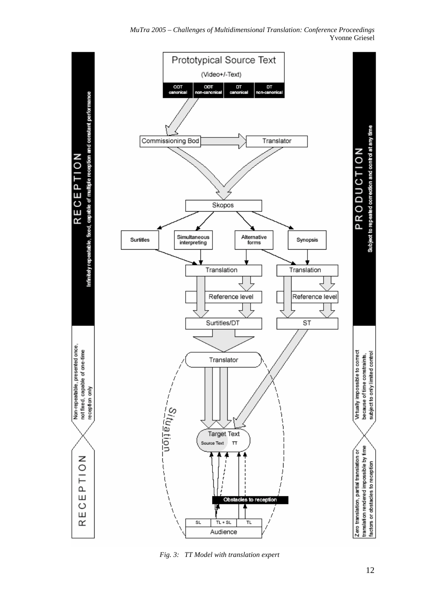#### *MuTra 2005 – Challenges of Multidimensional Translation: Conference Proceedings*  Yvonne Griesel



*Fig. 3: TT Model with translation expert*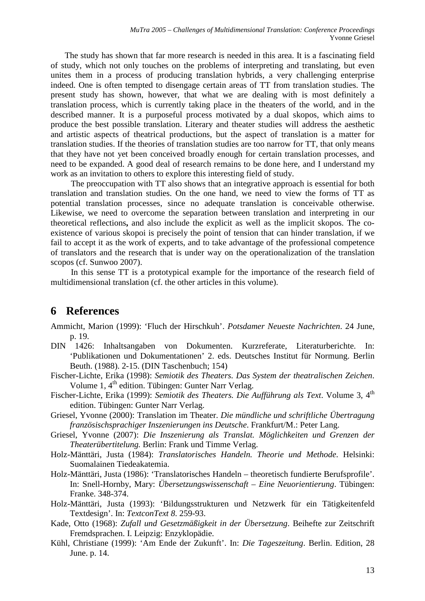The study has shown that far more research is needed in this area. It is a fascinating field of study, which not only touches on the problems of interpreting and translating, but even unites them in a process of producing translation hybrids, a very challenging enterprise indeed. One is often tempted to disengage certain areas of TT from translation studies. The present study has shown, however, that what we are dealing with is most definitely a translation process, which is currently taking place in the theaters of the world, and in the described manner. It is a purposeful process motivated by a dual skopos, which aims to produce the best possible translation. Literary and theater studies will address the aesthetic and artistic aspects of theatrical productions, but the aspect of translation is a matter for translation studies. If the theories of translation studies are too narrow for TT, that only means that they have not yet been conceived broadly enough for certain translation processes, and need to be expanded. A good deal of research remains to be done here, and I understand my work as an invitation to others to explore this interesting field of study.

The preoccupation with TT also shows that an integrative approach is essential for both translation and translation studies. On the one hand, we need to view the forms of TT as potential translation processes, since no adequate translation is conceivable otherwise. Likewise, we need to overcome the separation between translation and interpreting in our theoretical reflections**,** and also include the explicit as well as the implicit skopos. The coexistence of various skopoi is precisely the point of tension that can hinder translation, if we fail to accept it as the work of experts, and to take advantage of the professional competence of translators and the research that is under way on the operationalization of the translation scopos (cf. Sunwoo 2007).

In this sense TT is a prototypical example for the importance of the research field of multidimensional translation (cf. the other articles in this volume).

#### **6 References**

- Ammicht, Marion (1999): 'Fluch der Hirschkuh'. *Potsdamer Neueste Nachrichten*. 24 June, p. 19.
- DIN 1426: Inhaltsangaben von Dokumenten. Kurzreferate, Literaturberichte. In: 'Publikationen und Dokumentationen' 2. eds. Deutsches Institut für Normung. Berlin Beuth. (1988). 2-15. (DIN Taschenbuch; 154)
- Fischer-Lichte, Erika (1998): *Semiotik des Theaters. Das System der theatralischen Zeichen*. Volume 1, 4<sup>th</sup> edition. Tübingen: Gunter Narr Verlag.
- Fischer-Lichte, Erika (1999): *Semiotik des Theaters. Die Aufführung als Text*. Volume 3, 4<sup>th</sup> edition. Tübingen: Gunter Narr Verlag.
- Griesel, Yvonne (2000): Translation im Theater. *Die mündliche und schriftliche Übertragung französischsprachiger Inszenierungen ins Deutsche*. Frankfurt/M.: Peter Lang.
- Griesel, Yvonne (2007): *Die Inszenierung als Translat. Möglichkeiten und Grenzen der Theaterübertitelung.* Berlin: Frank und Timme Verlag.
- Holz-Mänttäri, Justa (1984): *Translatorisches Handeln. Theorie und Methode*. Helsinki: Suomalainen Tiedeakatemia.
- Holz-Mänttäri, Justa (1986): 'Translatorisches Handeln theoretisch fundierte Berufsprofile'. In: Snell-Hornby, Mary: *Übersetzungswissenschaft – Eine Neuorientierung*. Tübingen: Franke. 348-374.
- Holz-Mänttäri, Justa (1993): 'Bildungsstrukturen und Netzwerk für ein Tätigkeitenfeld Textdesign'. In: *TextconText 8*. 259-93.
- Kade, Otto (1968): *Zufall und Gesetzmäßigkeit in der Übersetzung*. Beihefte zur Zeitschrift Fremdsprachen. I. Leipzig: Enzyklopädie.
- Kühl, Christiane (1999): 'Am Ende der Zukunft'. In: *Die Tageszeitung*. Berlin. Edition, 28 June. p. 14.